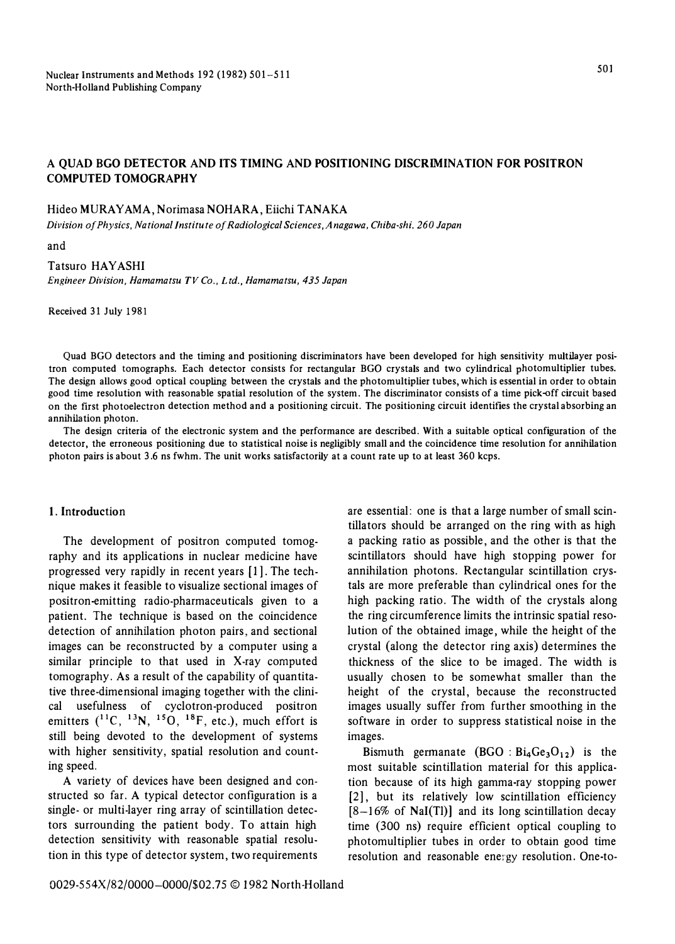## **A QUAD BGO DETECTOR AND ITS TIMING AND POSITIONING DISCRIMINATION FOR POSITRON COMPUTED TOMOGRAPHY**

### **Hideo MURAY AMA, Norimasa NOHARA, Eiichi TANAKA**

*Division of Physics, National Institute of Radiological Sciences, Anagawa, Chiba-shi, 260 Japan* 

**and** 

### **Tatsuro HAYASHI**

*Engineer Division, Hamamatsu TV Co., L* f*乱, Hamamatsu, 435 Japan* 

**Received 31 July 1981** 

**Quad BGO detectors and the timing and positioning discriminators have been developed for high sensitivity multilayer positron computed tomographs. Each detector consists for rectangular BGO crystals and two cylindrical photomultiplier tubes. The design allows good optical coupling between the crystals and the photomultiplier tubes, which is essential in order to obtain good time resolution with reasonable spatial resolution of the system. The discriminator consists of a time pick-off circuit based on the first photoelectron detection method and a positioning circuit. The positioning circuit identifies the crystal absorbing an annihilation photon.** 

**The design criteria of the electronic system and the performance are described. With a suitable optical configuration of the detector, the erroneous positioning due to statistical noise is negligibly small and the coincidence time resolution for annihilation photon pairs is about 3 .6 ns fwhm. The unit works satisfactorily at a count rate up to at least 360 kcps.** 

#### **1. Introduction**

**The development of positron computed tomography and its applications in nuclear medicine have progressed very rapidly in recent years [I]. The technique makes it feasible to visualize sectional images of positron-emitting radio-pharmaceuticals given to a patient. The technique is based on the coincidence detection of annihilation photon pairs, and sectional images can be reconstructed by a computer using a similar principle to that used in X-ray computed tomography. As a result of the capability of quantitative three-dimensional imaging together with the clinical usefulness of cyclotron-produced positron emitters ( <sup>11</sup>C, <sup>1</sup> 3N, 150, 18F, etc.), much effort is still being devoted to the development of systems with higher sensitivity, spatial resolution and counting speed.** 

**A variety of devices have been designed and constructed so far. A typical detector configuration is a single- or multi-layer ring array of scintillation detectors surrounding the patient body. To attain high detection sensitivity with reasonable spatial resolution in this type of detector system, two requirements** 

**are essential: one is that a large number of small scintillators should be arranged on the ring with as high a packing ratio as possible, and the other is that the scintillators should have high stopping power for annihilation photons. Rectangular scintillation crystals are more preferable than cylindrical ones for the high packing ratio. The width of the crystals along the ring circumference limits the intrinsic spatial resolution of the obtained image, while the height of the crystal (along the detector ring axis) determines the thickness of the slice to be imaged. The width is usually chosen to be somewhat smaller than the height of the crystal, because the reconstructed images usually suffer from further smoothing in the software in order to suppress statistical noise in the images.** 

**Bismuth germanate (BGO :**  $Bi_4Ge_3O_{12}$ **) is the most suitable scintillation material for this application because of its high gamma-ray stopping power [2], but its relatively low scintillation efficiency [8一16% of NaI(Tl)] and its long scintillation decay time (300 ns) require efficient optical coupling to photomultiplier tubes in order to obtain good time resolution and reasonable energy resolution. One-to-**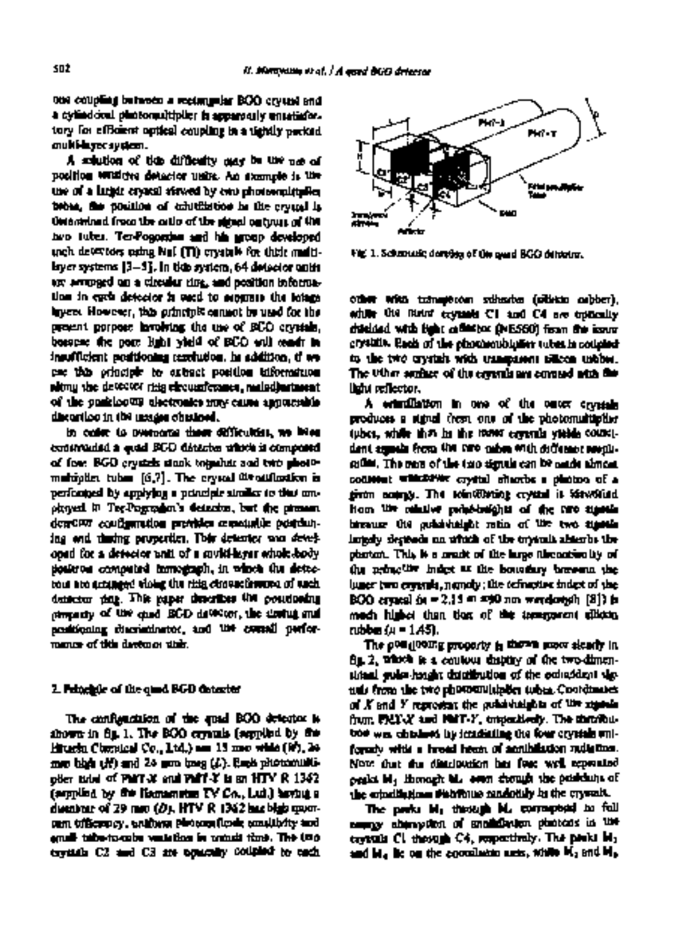one coupling between a rectangular BGO crystal and a cylindrical photomaltiplier is apparently unsatisfactory for efficient optical coupling in a tightly packed multi-layer system.

A solution of this difficulty may be the use of position sensitive detector units. An example is the use of a larger crystal viewed by two photomultiplier tubes, the position of scintillation in the crystal is determined from the ratio of the signal outputs of the two tubes. Ter-Pogossian and his group developed such detectors using Nal (T1) crystals for their multilayer systems [3-5]. In this system, 64 detector units are arranged on a circular ring, and position information in each detector is used to separate the lotage layers. However, this principle cannot be used for the present purpose involving the use of BGO crystals, because the poor light yield of BGO will result in insufficient positioning resolution. In addition, if we use this principle to extract position information along the detector ring circumference, maladjustment of the positioning electronics may cause appreciable distortion in the images obtained.

In order to overcome these difficulties, we have constructed a quad BGO detector which is composed of four BGO crystals stuck together and two photomultiplier tubes  $[6,7]$ . The crystal identification is performed by applying a principle similar to that employed in Ter-Pogossian's detector, but the present detector configuration provides reasonable positioning and timing properties. This detector was developed for a detector unit of a multi-layer whole-body positron computed tomograph, in which the detectous are arranged violog the ritin circumference of each detector ring. This paper describes the positioning property of the quad BGO detector, the timing and positioning discriminator, and the overall performance of this develop a this.

### **2. Principle of the quad BGO detector**

The configuration of the quad BGO detector is shown in fig. 1. The BGO crystals (supplied by the Hitachi Chemical Co., Ltd.) are 15 mm wide (W), 24 mm high (H) and 24 mm long (L). Each photomulti $p$ Ber tube of PMT-X and PMT-Y is an HTV  $R$  1362. (supplied by the Hamamatsu TV Co., Ltd.) having a diameter of 29 mm (D). HTV R 1362 has high quantum efficiency, uniform photocathode sensitivity and small tube-to-tube variation in transit time. The two crystals C2 and C3 are optically coupled to each



Fig. 1. Schematic drawing of the quad BGO detector.

other with transparent adhesive (silicon rubber), while the futur crystals C1 and C4 are optically shielded with light reflector (NE560) from the inner crystals. Each of the photomultiplier tubes is coupled to the two crystals with transparent silicon rubber. The other surface of the crystals are covered with the light reflector.

A scintillation in one of the outer crystals produces a signal from one of the photomultiplier tubes, while that in the inner crystals yields coincident signals from the two tubes with different ampli. tudes. The sum of the two signals can be made almost constant whichever crystal absorbs a photon of a given energy. The scintillating crystal is identified from the relative pulse-heights of the two signals because the pulse-height ratio of tile two signals largely depends on which of the crystals absorbs the photon. This is a result of the large discontinuity of the refractive index at the boundary between the inner two crystals, namely ; the refractive index of the BGO crystal (n = 2.15 at 490 nm wavelength [8]) is nmch higher than that of the transparent silicon rubber (n = 1.45).

The positioning property is shown more clearly in fig. 2, which is a contour display of the two-dimensional pulse-height distribution of the coincident signals from the two photomultiplier tubes. Coordinates of X and Y represent the pulse-heights of the signals from PMT-X and PMT-Y, respectively. The distribution was obtained by irradiating the four crystals uniformly with a broad beam of annihilation radiation. Note that the distribution has four well separated peaks M1 through M4 even though the positions of the scintillations distribute randomly in the crystals.

The peaks M1 through M4 correspond to full energy absorption of annihilation photons in the crystals C1 through C4, respectively. The peaks M~ and  $M_4$  lie on the coordinate axes, while  $M_2$  and  $M_3$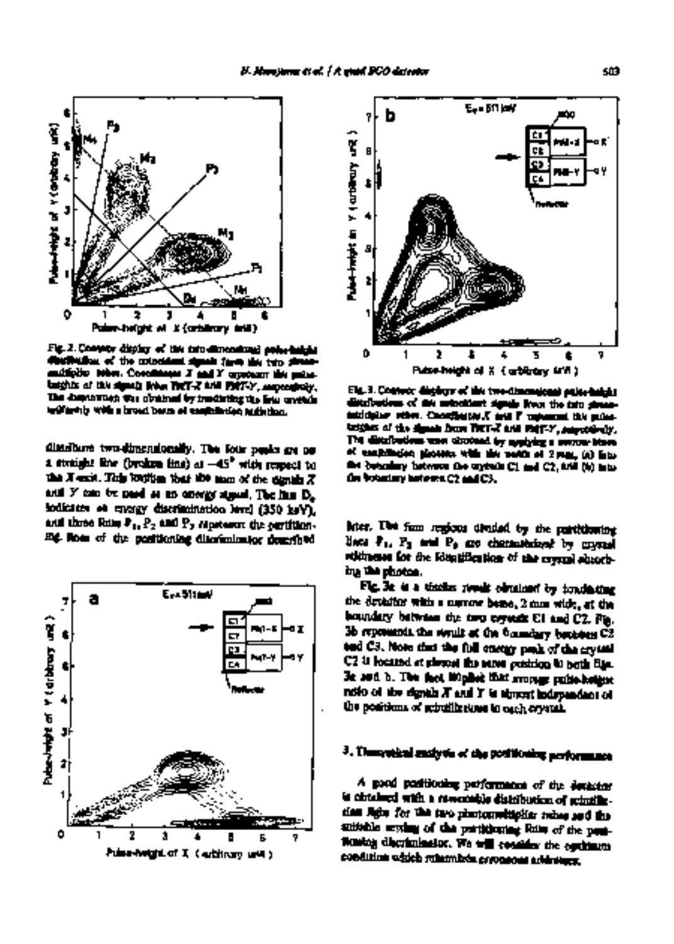Fig. 2. Contour display of the two-dimensional pulse-height distribution of the coincident signals from the two photomultiplier tubes. Coordinates X and Y represent the pulseheights of the signals from *PMT-X* and *PMT-Y,* respectively• The distribution was obtained by irradiating the four crystals uniformly with a broad beam of annihilation radiation.

ш

0 1 2 3 4 5 6 Pulse-height of X (arbitrary unit)

**6** 

5 È

v >- 3

'n

š

t z

U3 **21** 

distribute two-dimensionally, The four peaks are on a straight line (broken line) at -45 ° with respect to the X-axis. This implies that the sum of the signific  $X$ and  $Y$  can be used as an energy signal. The line  $D_n$ indicates an energy discrimination level (350 keV), and three lines  $P_1, P_2$  and  $P_3$  represent the partitioning lines of the positioning discriminator described





Fig. 3. Contour displays of the two-dimensional pulse-height distributions of the coincident signals from the two photomultiplier tubes. Coordinates X and Y represent the pulseheights of the signals from PMT-X and PMT-Y, respectively. The distributions were obtained by applying a narrow beam of annihilation photons with the width of 2 mm, (a) into the boundary between the crystals C1 and C2, and (b) into the boundary between C2 and C3.

later. The four regions divided by the partitioning lines P<sub>1</sub>, P<sub>2</sub> and P<sub>2</sub> are characterized by crystal addresses for the identification of the crystal absorbing the photon•

Fig. 3a is a similar result obtained by irradiating the detector with a narrow beam, 2 mm wide, at the boundary between the two crystals C1 and C2. Fig. 3b represents the result at the boundary between C2 and C3. Note that the full energy peak of the crystal C2 is located at almost the same position in both figs. 3a and b. The fact implies that average pulse-height ratio of the signals X and Y is almost independent of the positions of scintillations in each crystal.

# 3. Theoretical analysis of the **positioning performance**

A good positioning performance of the detector is obtained with a reasonable distribution of scintillation light for the two photomultiplier tubes and the suitable setting of the partitioning lines of the positioning discriminator. We will consider the optimum condition which minimizes erroneous addresses.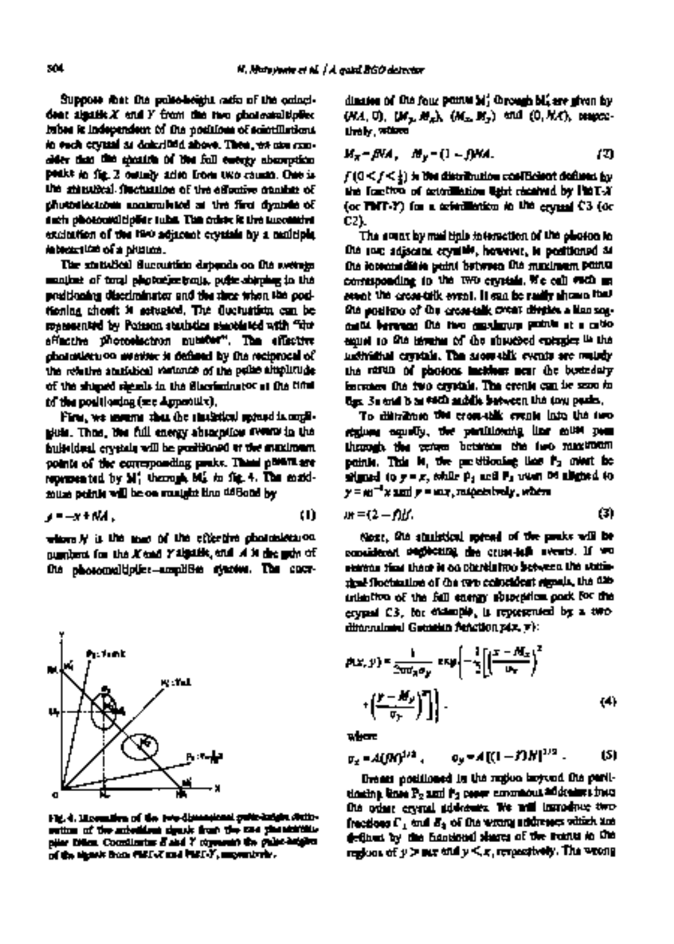Suppose that the pulse-height ratio of the coincident signific $X$  and  $Y$  from the two photomultiplier tubes is independent of the positions of scintillations in each crystal as described above. Then, we can consider that the specific of the full energy absorption peaks in fig. 2 mainly arise from two causes. One is the statistical fluctuation of the effective number of photoelectrons accumulated at the first dynode of each photonmltiplier tube. The other is the tucomitive excitation of the two adjacent crystals by a multiple interaction of a photon.

The statistical fluctuation depends on the average number of total photoelectrons, pulse-shaping in the preditioning discriminator and the time when the positioning circuit is actuated. The fluctuation can be represented by Poisson statistics associated with "the effective photoelectron number". The effective photoelectron number is defined by the reciprocal of the relative statistical variance of the pulse amplitude of tile shaped signals in the discriminator at the time of the positioning (see Appendix).

First, we assume that the statistical spread is negligible. Then, the full energy absorption events in the individual crystals will be positioned at the maximum points of the corresponding peaks. These points are represented by M'l through M~ in fig. 4. The maximum points will be on straight line defined by

$$
y = -x + N \lambda, \qquad (1)
$$

where  $N$  is the sum of the effective photoelectron. numbers for the X and Y signals, and A is the gain of tile photomultiplier-amplifier system. The coor-



**Fig. 4. Illustration of the two-dimensional pulse-height distribution of the coincident signals from the two photomultiplier tubes. Coordinates X and Y represent the pulse-heights of the signals from PMT-X and PMT-Y, respectively.** 

dinates of the four points M'I through M; are given by *(NA, O), (My, Mx), (Mx, M),)* and *(O,NA),* respectively, where

$$
M_{\pi} = \beta M, \quad M_{\nu} = (1 - \beta) M.
$$
 (2)

 $f$  ( $0 \leq f \leq \frac{1}{4}$  ) is the distribution coefficient defined by the fraction of scintillation light received by PMT-X (or PMT-Y) for a scintillation in the crystal C3 (or C2).

The event by multiple interaction of the photon in the two adjacent crystals, however, is positioned at the intermediate point between the maximum points corresponding to the two crystals. We call such an event the cross-talk event. It can be easily shown that the position of the cross-talk event divides a line segment between the two maximum points at a ratio equal to tile inverse of the absorbed energies in the individual crystals. The cross-talk events are mainly the result of photons incident near the boundary between the two crystals. The events can be seen in figs. 3a and b as each saddle between the two peaks.

To distribute the cross-talk events into the two regions equally, the partitioning line must pass through the center between the two maximum points. This is, the partitioning line P<sub>2</sub> must be  $\mathbf{a}$ igned to  $\mathbf{y} = \mathbf{x}$ , while  $\mathbf{p}_1$  and  $\mathbf{P}_2$  wust be aligned to  $y = m^{-1}x$  and  $x = mx$ , respectively, where

$$
m = (2 - f)f. \tag{3}
$$

Next, the statistical spread of the peaks will be considered neglecting the cross-talk events. If we assume that there is no correlation between the statistical fluctuation of the two coincident signals, the distribution of the full energy absorption peak for the crystal C3, for example, is represented by a twodimensional Gaussian function *p(x,* y):

$$
p(x, y) = \frac{1}{2\pi a_n a_y} \exp\left\{-\frac{1}{2}\left[\left(\frac{x - M_x}{a_x}\right)^2\right] + \left(\frac{y - M_y}{a_y}\right)^2\right\}.
$$
 (4)

where

$$
\sigma_x = A(DD)^{1/2}, \qquad \sigma_y = A[(1-DD)^{1/2}]. \qquad (5)
$$

Events positioned in the region beyond the partitioning lines P2 and P3 cause erroneous addresses into the other crystal addresses. We will introduce two fractions  $\Gamma_1$  and  $E_2$  of the wrong addresses which are defined by the fractional shares of the events in the regions of y > *nix* andy < x, respectively. The wrong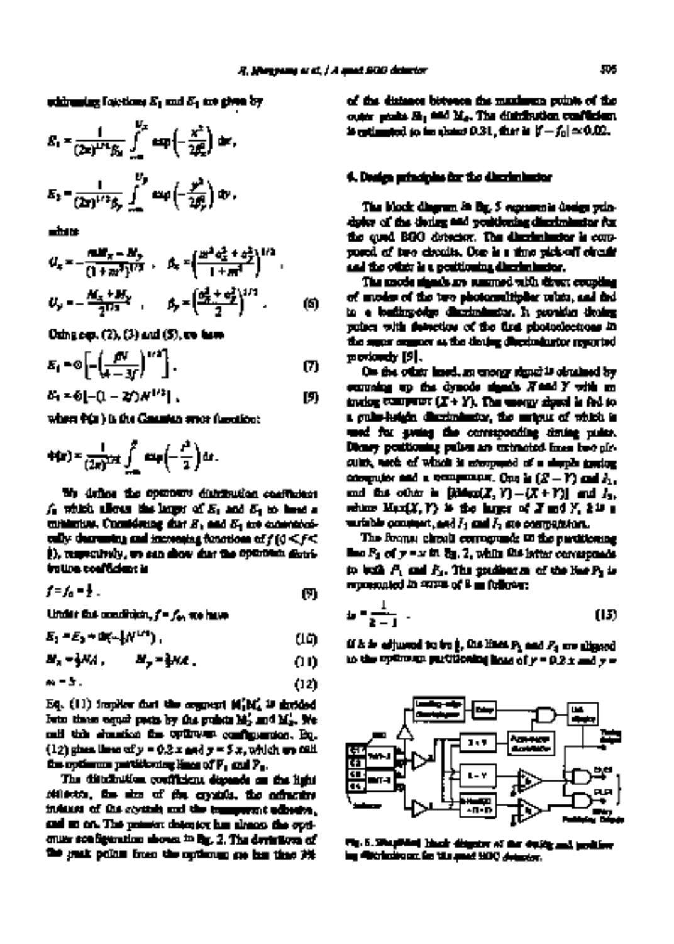while uniting finicitiess  $E_1$  and  $E_2$  are given by

$$
E_1 = \frac{1}{(2\pi)^{1/2} \beta_0} \int_{-\infty}^{y_0} \exp\left(-\frac{x^2}{2\beta_0^2}\right) dx,
$$
  

$$
E_2 = \frac{1}{(2\pi)^{1/2} \beta_0} \int_{-\infty}^{y_0} \exp\left(-\frac{y^2}{2\beta_0^2}\right) dy,
$$

where

$$
U_x = -\frac{n \Delta W_x - M_y}{(1 + m^2)^{1/2}}, \quad \beta_x = \left(\frac{m^2 a_x^2 + a_y^2}{1 + m^2}\right)^{1/2},
$$
  

$$
U_y = -\frac{M_x + M_y}{2^{1/2}}, \qquad \beta_y = \left(\frac{a_x^2 + a_y^2}{2}\right)^{1/2}.
$$
 (5)

Using eqs.  $(2), (3)$  and  $(5)$ , we have

$$
E_1 = \Phi \left[ -\left(\frac{f^N}{4-3f}\right)^{1/2} \right]. \tag{7}
$$

$$
E_1 = 6[-(1-2t)x^{1/2}], \qquad [9]
$$

where  $\Phi(x)$  is the Gaussian error function:

$$
\Phi(x) = \frac{1}{(2\pi)^{1/2}} \int_{-\infty}^x \exp\left(-\frac{t^2}{2}\right) dt.
$$

We define the optimum distribution coefficient  $f_0$  which allows the larger of  $E_1$  and  $E_2$  to have a minimum. Considering that E1 and E2 are monotonically decreasing and increasing functions of  $f(0 \leq f \leq$ ~), respectively, we can show that the optimum distribution coefficient is

$$
f=f_0=f_1.\tag{9}
$$

Under the condition, f = fo, we have

$$
E_1 = E_2 + \text{Im}(-\frac{1}{2}N^{1/4}), \tag{10}
$$

*M<sub>x</sub> = }NA , M<sub>y</sub> = }NA , (11)* 

$$
\mathbf{w} = \mathbf{S} \tag{12}
$$

Eq.  $(11)$  implies that the segment  $M'_1M'_2$  is divided into three equal parts by the points M~ and M~. We call this situation the optimum configuration. Eq.  $(12)$  gives lines of  $y = 0.2$  x and  $y = 5x$ , which we call the optimum partitioning lines of P1 and Pa.

The distribution coefficient depends on the light reflector, the size of the crystals, the refractive indexes of the crystals and the transparent adhesive, and so on. The present detector has almost the optimum configuration shown in Fig. 2. The deviations of the peak points from the optimum are less than 3% of the distance between the maximum points of the outer peaks M1 and M4. The distribution coefficient is estimated to be about 0.31, that is  $|t - f_0| \simeq 0.02$ .

### **4. Design principles for the discriminator**

The block diagram in fig. 5 represents design principles of the timing and positioning discriminator for the quad BGO detector. The discriminator is composed of two circuits. One is a time pick-off circuit and the other is a positioning discriminator.

The anode signals are summed with direct coupling of anodes of the two photomultiplier tubes, and fed to a leading-edge discriminator. It provides timing pulses with detection of the first photoelectrons in the same manner as the timing discriminator reported previously [9].

On the other hand, an energy signal is obtained by summing up the dynode signals X and Y with an analog computer  $(X + Y)$ . The energy signal is fed to a pulse-height discriminator, the output of which is used for gating the corresponding timing pulse. Binary positioning pulses are extracted from two circuits, each of which is composed of a simple analog computer and a comparator. One is  $(Z-Y)$  and  $I_1$ , and the other is  $[iMm(X, Y) - (X+Y)]$  and  $I_2$ , where Max(X, Y) is the larger of X and *Y, kis* a wariable constant, and  $I_1$  and  $I_2$  are comparators.

The former circuit corresponds to the partitioning line  $P_2$  of  $y = x$  in  $\delta q$ . 2, while the latter corresponds to both  $P_1$  and  $P_2$ . The gradient m of the line  $P_1$  is represented in terms of k as follows:

$$
u = \frac{1}{2-1} \tag{13}
$$

If  $k$  is adjusted to be  $\beta$ , the lines  $P_1$  and  $P_3$  are aligned to the optimum partitioning lines of  $y = 0.2$  x and  $y =$ 



Fig. 5. Simplified block diagram of the timing and positioning discriminator for the quad BGO detector.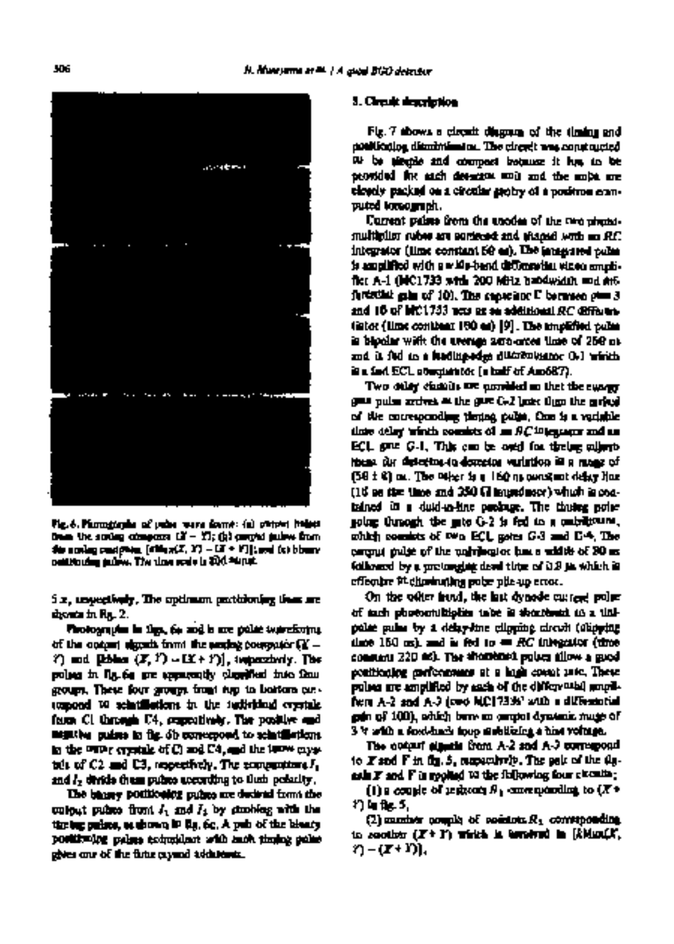acceptions is  $1.7.2.7$ the continues of the the contract of the company of the property and

Fig. 6. Photographs of pulse wave forms: (a) output pulses from the analog computer (X Y); (b) output pulses from the analog computer *[kMax(X, Y) - (X +* Y)]; and (c) binary positioning pulses. The time scale is 200 minute.

5 x, respectively. The optimum partitioning lines are shown in fig. 2.

Photographs in figs. 6a and b are pulse waveforms of the output signals from the analog convolutor  $\Omega'$  - $Y$ ) and **[kblax**  $(X, Y) = (X + Y)$ ], temperatorly. The pulses in fig. 6a are apparently classified into four groups. These four groups from top to bottom correspond to scintillations in the individual crystals from C1 through C4, respectively. The positive and negative pulses in fig. 6b correspond to scintillations in the outer crystals of C1 and C4, and the inner crystals of  $C2$  and  $C3$ , respectively. The comparators  $I_1$ and I<sub>2</sub> divide these pulses according to their polarity.

The binary positioning pulses are derived from the output pulses from  $I_1$  and  $I_2$  by strobing with the timing pulses, as shown in fig. 6c. A pair of the binary positioning pulses coincident with each timing pulse gives one of the four crystal addresses.

#### **5. Circuit description**

Fig. 7 shows a circuit diagram of the timing and positioning discriminator. The circuit was constructed to be simple and compact because it has to be provided for each detector unit and tile units are closely packed on a circular gantry of a positron computed tomograph.

Current pulses from the anodes of the two photomultiplier tubes are summed and shaped with an *RC*  integrator (time constant 60 as). The integrated pulse is amplified with a wide-band differential video amplifier A-1 (MC1733 with 200 MHz bandwidth and differential gain of 10). The capacitor  $\Gamma$  between pins 3 and 10 of MC1733 acts as an additionalRC differentiator (time constant 100 ns) [9]. The amplified pulse is bipolar with the average zero-cross time of 250 ns and is fed to a leading-edge discriminator D-1 which is a fast ECL comparator (a half of Am687).

Two delay circuits are provided so that the energy  $\eta$  $g$ ate pulse arrives  $\cong$  the  $g$ ate  $G$ - $2$  later than the arrival of the corresponding timing pulse. One is a variable time delay which consists of an *RC* integrator and an ECL gate G-1. This can be outd for timing adjustment for detector-to-detector variation in a range of  $(50 \pm 6)$  as. The other is a  $160$  ns constant delay line.  $(16$  se time time and  $250$   $\Omega$  impedance) which is contained in a duN-m-line package. The timing pulse going through the gate G-2 is fed to a univibrator, which consists of two ECL gates G-3 and G4. The output pulse of the univibrator has a width of 80 ns followed by a prolonging dead time of 0.8 ps which is effective in eliminating pulse pile-up error.

On the other hand, the last dynode current pulse of each photomultiplier tube is shortened to a unipolar pulse by a delay-line clipping circuit (clipping time 160 ns), and is fed to an *RC* integrator (time constant 220 ns). The shortened pulses allow a good positioning performance at a high count rate. These pulses are amplified by each of the differential amplifiers A-2 and A-3 (two MC1733s' with a differential gain of 100), which have an output dynamic range of 3 V with a feed-back loop stabilizing a bias voltage.

The output signals from A-2 and A-3 correspond to  $X$  and  $Y$  in fig. 5, respectively. The pair of the  $\mu_0$ ask  $\bm{F}$  and  $\bm{F}$  is applied to the following four circuits ;

(1) a couple of registors  $R_1$  corresponding to  $(X^*)$ Y) in fig. 5,

(2) another couple of resistors  $R_1$  corresponding to another (X+ 1I) which is involved in [kMax(X, r3- (x+ r)l,

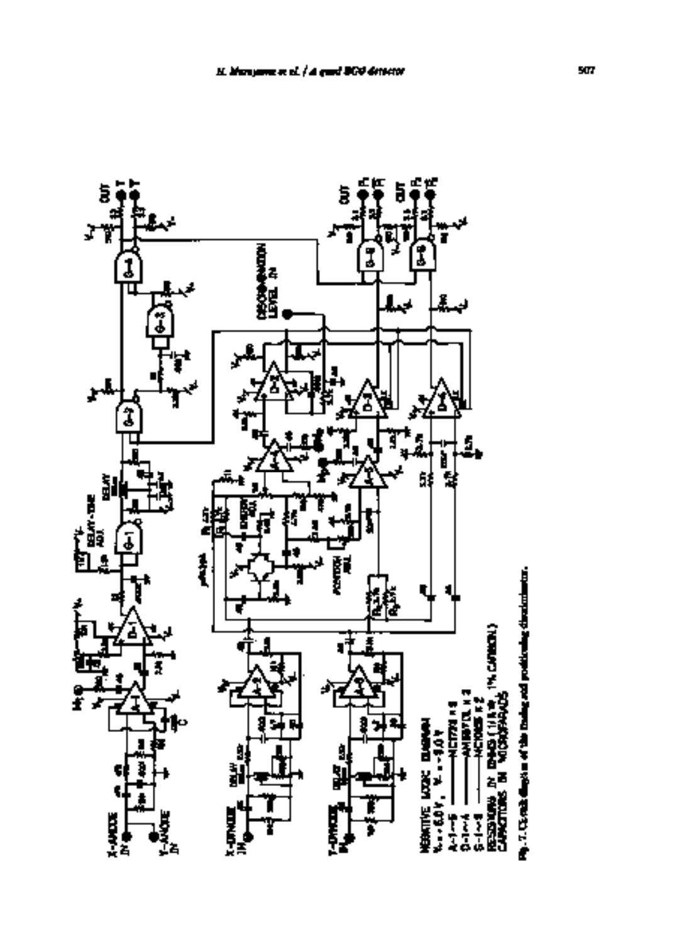

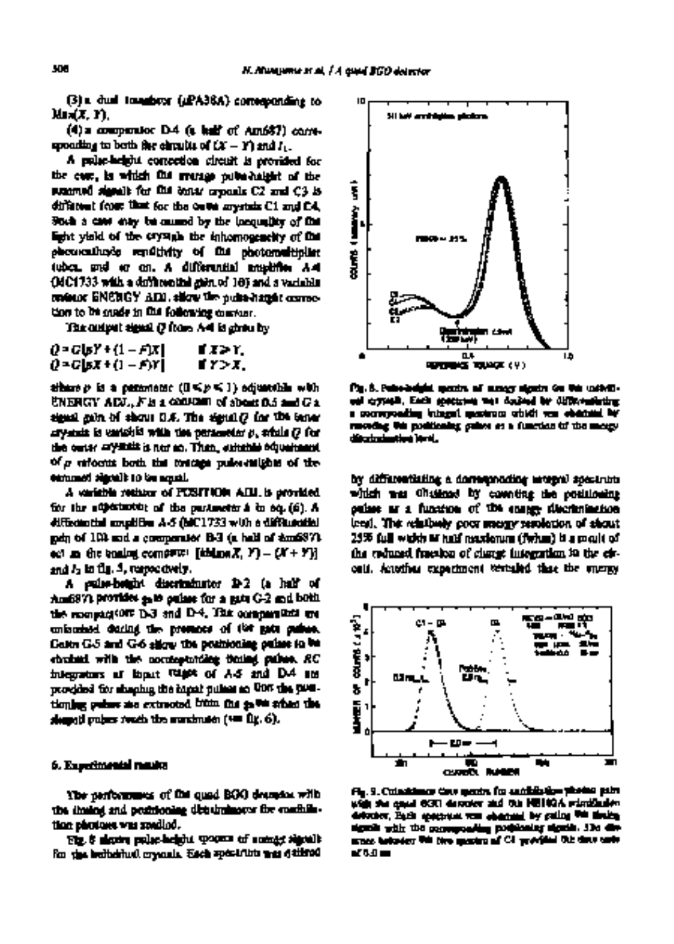(3) a dual transistor (/JPA38A) corresponding to Max(X, Y),

(4) a comparator D-4 (a half of Am687) corresponding to both the circuits of  $(X - Y)$  and  $I_{1}$ .

A pulse-height correction circuit is provided for the case, in which the average pulse-height of the summed signals for the ontar crystals C2 and C3 is different from that for the outer crystals C1 and C4. Such a case may be caused by the inequality of the light yield of the crystals the inhomogeneity of the photocathode sensitivity of the photomultiplier tubes, and so on. A differential amplifier A-4 (MC 1733 with a differential gain of 10) and a variable resistor ENERGY ADJ. allow the pulse-height correction to be made in the following manner.

The output signal Q from A-4 is given by

| Q = G\pY + {1 – F\X | 882Y. |
|---------------------|-------|
| ()=G 6X+() - F)Y    | TY>X. |

where p is a parameter (0 ~< p ~< 1) adjustable with ENERGY ADJ., F is a constant of about 0.5 and G a signal gain of about 0.4. The signal Q for the inner crystals is variable with the parameter p, while Q for the outer crystals is not so. Then, suitable adjustment  $\alpha'$  reforms both the average pulse-heights of the smnmed signals to be equal.

A variable resistor of POSITION ADJ. is provided for the adjustment of the parameter k in eq. (6). A differential anlplifier A-5 (MC 1733 with a differential gain of 10) and a comparator D-3 (a half of Am687) act as the basis computer  $[ikdim(X, Y) - (X + Y)]$ and  $I_2$  in fig. 5, respectively.

A pulse-height discriminator D-2 (a half of Am687) provides gate pulses for a gate G-2 and both the comparators D-3 and D-4. The comparators are unlatched during the presence of the gate pulses. Gates G-5 and G-6 allow the positioning pulses to be strobed with tire corresponding timing pulses. *RC*  integrators at input stages of A-5 and D-4 are provided for shaping the input pulses so that the positioning pulses are extracted from the gates when the shaped pulses reach the maximum (see fig. 6).

#### **6. Experimental results**

The performance of the quad BGO detector with the timing and positioning discriminator for annihilation photons was studied.

Fig. 8 shows pulse-height spectra of energy signals for the individual crystals. Each spectrum was derived



Fig. 8. Pulse-height spectra of energy signals for the individual crystals. Each spectrum was derived by differentiating a corresponding integral spectrum which was obtained by recoding the positioning pulses as a function of the energy discrimination level.

by differentiating a corresponding integral spectrum which was obtained by counting the positioning pulses as a function of the energy discrimination level. The relatively poor energy resolution of about 25% full width at half maximum (fwhm) is a result of the reduced fraction of charge integration in the circuit. Another experiment vertaled that the energy



Fig. 9. Coincidence time spectra for annihilation photon pairs with the quad BGO detector and the NEI02A scintillation detector. Each spectrum was observed by gating the timing signals with the corresponding positioning signals. The dismance between this two spectra of C4 provides the time scale of 8.0 ns.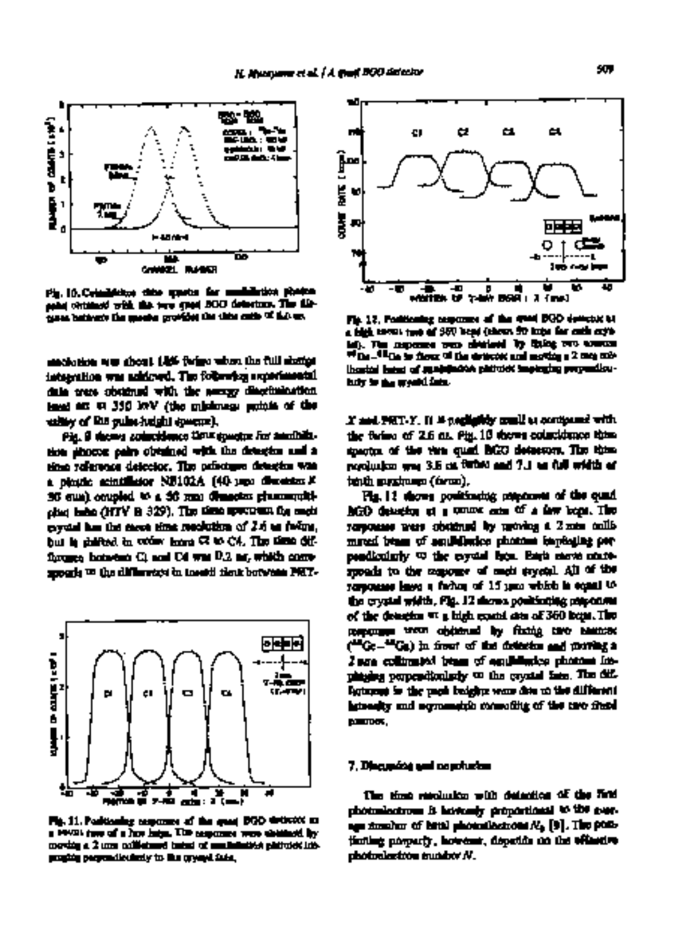

Fig. 10.Coincidence time spectra for annihilation photon pairs obtained with the two quad BGO detectors. The distance between the spectra provides the time scale of 4.0 ns.

resolution was about 18% fwhm when the full charge integration was achieved. The following experimental data were obtained with the energy discrimination level set at 350 keV (the minimum points of the valley of the pulse-height spectra).

Fig. 9 shows coincidence time spectra for annihilation photon pairs obtained with the detector and a time reference detector. The reference detector was a plastic scintillator NE102A (40 mm diameter X 30 mm) coupled to a 50 mm diameter photomultiplier tube (HTV R 329). The time spectrum for each crystal has the same time resolution of 2.6 ns fwhm, but is shifted in order from C1 to C4. The time difference between C1 and C4 was 0.2 ns, which corresponds to the difference in transit time between PMT-



Fig. 11. Positioning responses of the quad BGO detector at a count rate of a few kcps. The responses were obtained by moving a 2 mm collimated beam of annihilation photons impinging perpendicularly to the crystal face.



Fig. 12. Positioning responses of the quad BGO detector at a high count rate of 360 kcps (about 90 kcps for each crystal). The responses were obtained by fixing two sources  $\overline{\mathbf{H}}_{\text{DM}}$  . (Eqs. in flow  $\overline{\mathbf{H}}$  the detector and moving a  $2$  mm collimated beam of annihilation photons impinging perpendicularly to the crystal face.

X and PMT-Y. It is negligibly small as compared with the fwhm of 2.6 ns. Fig. 10 shows coincidence time spectra of the two quad BGO detectors. The time resolution was 3.6 ns fwhm and 7.1 ns full width at tenth maximum (fwtm).

Fig. I 1 shows positioning responses of the quad BGO detector at a count rate of a few kcps. The responses were obtained by moving a 2 mm collimated beam of annihilation photons impinging perpendicularly to the crystal face. Each curve corresponds to the response of each crystal. All of the responses have a fwhm of 15 mm which is equal to the crystal width. Fig. 12 shows positioning responses of the detector at a high count rate of 360 kcps. The responses were obtained by fixing two sources (68Ge-68Ga) in front of the detector and moving a 2 mm collimated beam of annihilation photons impinging perpendicularly to the crystal face. The differences in the peak heights were due to the different intensity and asymmetric mounting of the two fixed sources.

### 7. Discussion and conclusion

The time resolution with detection of the first photoelectrons is inversely proportional to the average number of total photoelectrons No [9]. The positioning property, however, depends on the effective photoelectron number N.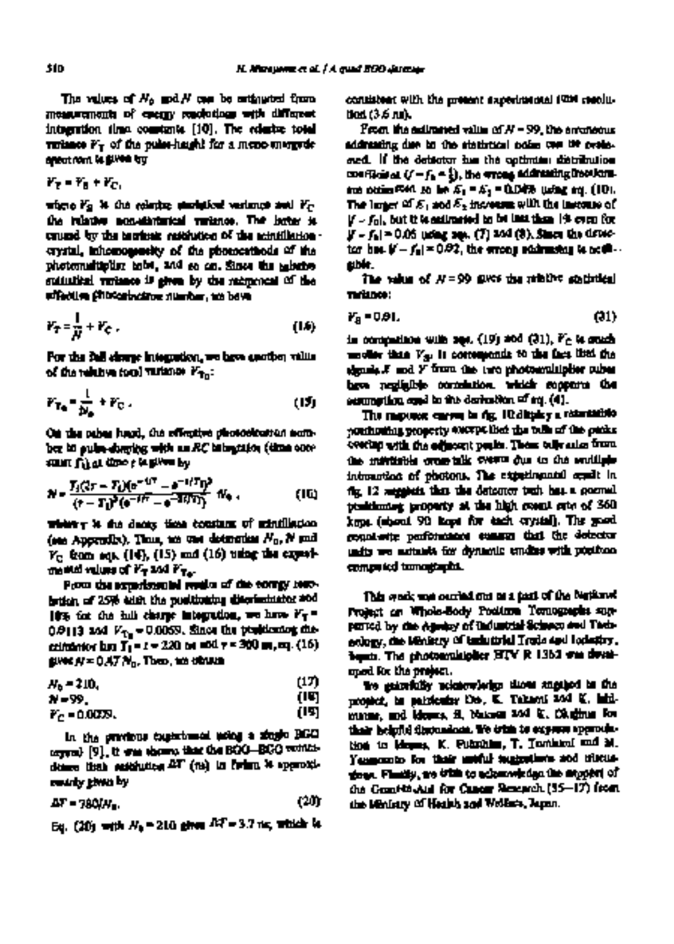The values of  $N_0$  and  $N$  can be estimated from measurements of energy resolutions with different integration time constants [10]. The relative total variance  $V_T$  of the pulse-height for a mono-energede spectrum is given by

$$
r_{\overline{z}} = r_{\overline{z}} + r_{\overline{c}}
$$

where  $V_S$  is the relative statistical variance and  $V_C$ the relative non-statistical variance. The latter is caused by the intrinsic resolution of the scintillation ~ crystal, inhomogeneity of the photocathode of the photomultipher tube, and so on. Since the relative statistical variance is given by the reciprocal of the effective photoelectron number, we have

$$
V_T = \frac{1}{N} + V_C \tag{1.6}
$$

For the full charge integration, we have another value of the relative total variance  $V_{\rm T_{\rm eff}}$ :

$$
F_{T_0} = \frac{1}{N_0} + F_C. \tag{15}
$$

On the other hand, the effective photoelectron number in pulse-shaping with an *RC* integrator (time constant Ti) at time t is given by

$$
N = \frac{T_3(2\tau - T_1)(e^{-4\tau^2} - e^{-4\tau})T_1^2}{(\tau - T_1)^2(e^{-4\tau^2} - e^{-3\tau})T_1^2} d\tau_0, \qquad (10)
$$

where **x** is the decay time constant of scintillation (see Appendix). Thus, we can determine  $N_0$ , N and  $V_C$  from eqs. (14), (15) and (16) using the experi $m$ ental values of  $V_T$  and  $V_{T\alpha}$ .

From the experimental results of the energy resolution of 25% with the positioning discriminator and 18% for the full charge integration, we have  $V_T =$ 0.0113 and  $V_{\rm{Tx}}$  = 0.0059. Since the positioning discrimintor has Ti = t = 220 ns and r = 300 ns, eq. (16) gives  $\boldsymbol{N} = 0.47$   $N_{\mathrm{B}}$ . Then, we obtain

 $N_0 = 210,$  (17)<br> $N = 29$  (19)

N = 99, (18)

 $V_c = 0.0035$ . (19)

In the previous experiment using a single BGO crystal [9], it was shown that the BGO-BGO coincidence time resolution AT (ns) in fwhm is approximately given by

$$
\Delta T = 780/M_{\odot} \tag{20}
$$

Eq. (20) with  $N_b$  = 210 gives  $M = 3.7$  ns, which is

consistent with the present experimental time resolution (3.6 ns).

From the estimated value of  $N = 99$ , the erroneous addressing due to the statistical noise can be evaluated. If the detector has the optimum distribution coefficient  $(j-f_n-\frac{1}{2})$ , the wrong addressing fractions. are estimated to be  $E_1 = E_2 = 0.04\%$  using eq. (10). The larger of  $E_1$  and  $E_2$  increases with the increase of  $\mathbf{F} = \mathbf{f}_0$ , but it is estimated to be less than 1% even for  $[f - f_0] = 0.05$  using eqs. (7) and (8). Since the detector has  $|f - f_0| = 0.02$ , the errong addressing is negli-. gible.

The value of  $N = 99$  gives the relative statistical variance:

$$
V_{\rm B} = 0.91. \tag{31}
$$

In comparison with eqs. (19) and (21), *Vc* is much smaller than  $V_{\rm su}$  is corresponds to the fact that the signals X and Y from the two photomultiplier tubes have negligible correlation, which supports the assumption used in the derivation of eq. (4).

The response curves in fig. 10 display a reasonable positioning property except that the tails of the peaks overlap with the adjacent peaks. These tails arise from the inevitable cross-talk events due to the multiple interaction of photons. The experimental cendit in fig. 12 suggests that the detector unit has a normal positioning property at the high count rate of 360 kcps (about 90 kcps for each crystal). The good count-rate performance ensures that the detector units are suitable for dynamic studies with positron computed tomographs.

This work was carried out as a part of the National Project on Whole-Body Positron Tomographs supported by the Agency of Industrial Science and Technology, the Ministry of Industrial Trade and Industry, Japan. The photomultiplier HTV R 1362 was developed for the project.

We gratefully acknowledge those engaged in the project, in particular Drs. K. Takami and K. lahimatsu, and Messrs. S. Nakase and K. Okajima for their helpful discussions. We wish to express appreciation to Messrs. K. Fukuhisa, T. Tomitani and M. Yamamoto for their useful suggestions and discussions. Finally, we wish to acknowledge the support of the Grant-in-Aid for Cancer Research (55-17) from the Ministry of Health and Welfare, Japan.